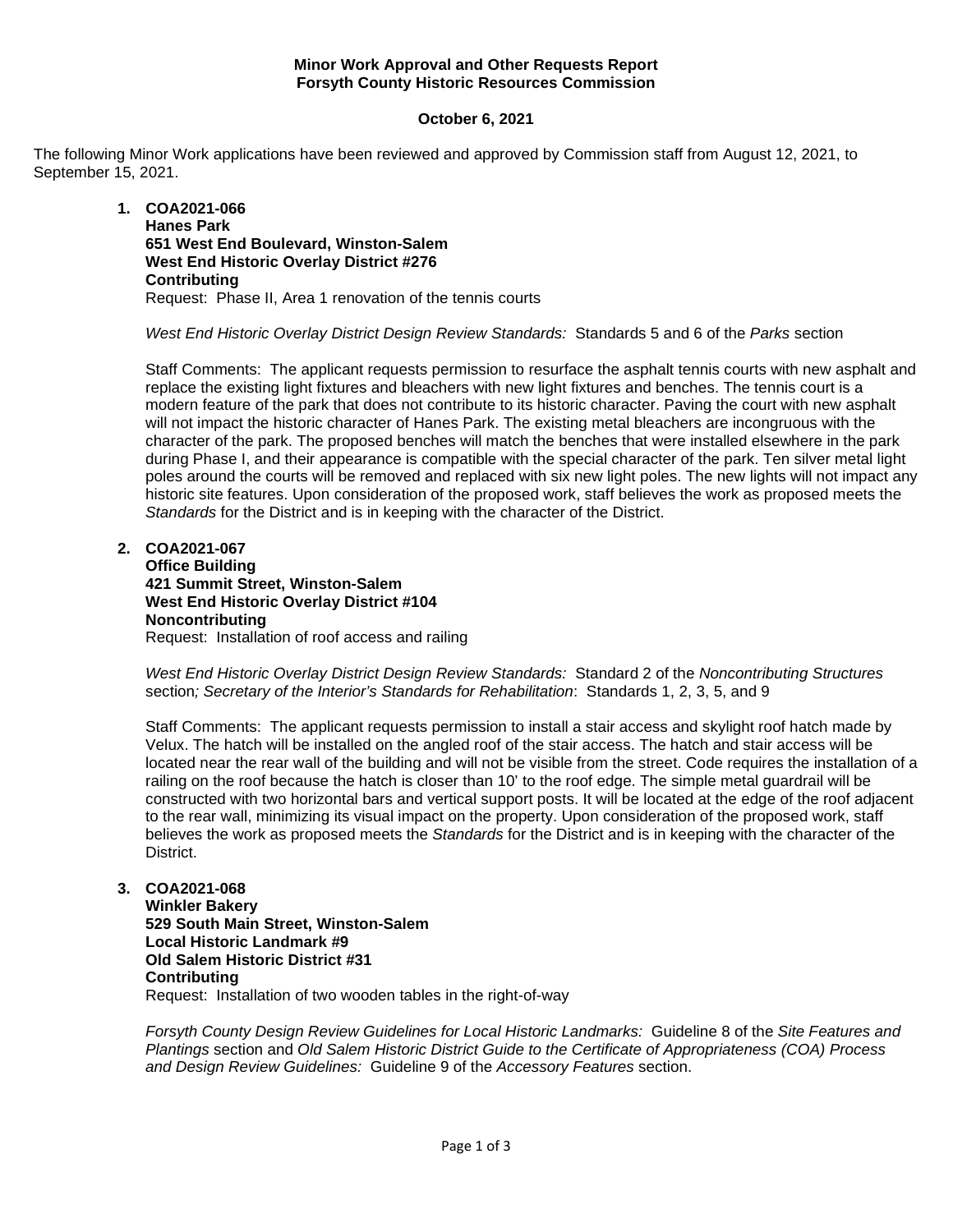### **Minor Work Approval and Other Requests Report Forsyth County Historic Resources Commission**

### **October 6, 2021**

The following Minor Work applications have been reviewed and approved by Commission staff from August 12, 2021, to September 15, 2021.

> **1. COA2021-066 Hanes Park 651 West End Boulevard, Winston-Salem West End Historic Overlay District #276 Contributing** Request: Phase II, Area 1 renovation of the tennis courts

*West End Historic Overlay District Design Review Standards:* Standards 5 and 6 of the *Parks* section

Staff Comments: The applicant requests permission to resurface the asphalt tennis courts with new asphalt and replace the existing light fixtures and bleachers with new light fixtures and benches. The tennis court is a modern feature of the park that does not contribute to its historic character. Paving the court with new asphalt will not impact the historic character of Hanes Park. The existing metal bleachers are incongruous with the character of the park. The proposed benches will match the benches that were installed elsewhere in the park during Phase I, and their appearance is compatible with the special character of the park. Ten silver metal light poles around the courts will be removed and replaced with six new light poles. The new lights will not impact any historic site features. Upon consideration of the proposed work, staff believes the work as proposed meets the *Standards* for the District and is in keeping with the character of the District.

**2. COA2021-067 Office Building 421 Summit Street, Winston-Salem West End Historic Overlay District #104 Noncontributing** Request: Installation of roof access and railing

*West End Historic Overlay District Design Review Standards:* Standard 2 of the *Noncontributing Structures* section*; Secretary of the Interior's Standards for Rehabilitation*: Standards 1, 2, 3, 5, and 9

Staff Comments: The applicant requests permission to install a stair access and skylight roof hatch made by Velux. The hatch will be installed on the angled roof of the stair access. The hatch and stair access will be located near the rear wall of the building and will not be visible from the street. Code requires the installation of a railing on the roof because the hatch is closer than 10' to the roof edge. The simple metal guardrail will be constructed with two horizontal bars and vertical support posts. It will be located at the edge of the roof adjacent to the rear wall, minimizing its visual impact on the property. Upon consideration of the proposed work, staff believes the work as proposed meets the *Standards* for the District and is in keeping with the character of the District.

### **3. COA2021-068**

**Winkler Bakery 529 South Main Street, Winston-Salem Local Historic Landmark #9 Old Salem Historic District #31 Contributing** Request: Installation of two wooden tables in the right-of-way

*Forsyth County Design Review Guidelines for Local Historic Landmarks:* Guideline 8 of the *Site Features and Plantings* section and *Old Salem Historic District Guide to the Certificate of Appropriateness (COA) Process and Design Review Guidelines:* Guideline 9 of the *Accessory Features* section.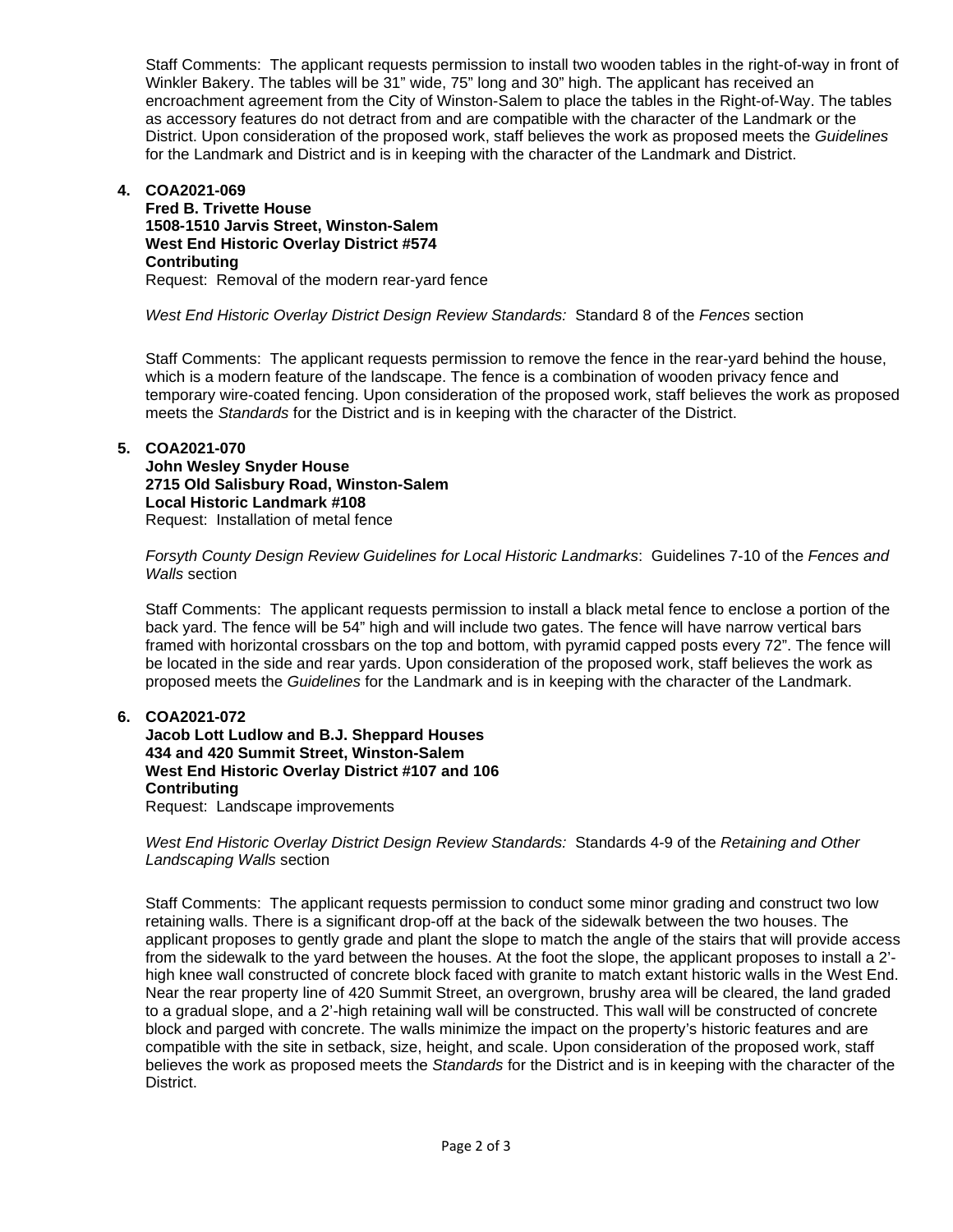Staff Comments: The applicant requests permission to install two wooden tables in the right-of-way in front of Winkler Bakery. The tables will be 31" wide, 75" long and 30" high. The applicant has received an encroachment agreement from the City of Winston-Salem to place the tables in the Right-of-Way. The tables as accessory features do not detract from and are compatible with the character of the Landmark or the District. Upon consideration of the proposed work, staff believes the work as proposed meets the *Guidelines* for the Landmark and District and is in keeping with the character of the Landmark and District.

# **4. COA2021-069**

**Fred B. Trivette House 1508-1510 Jarvis Street, Winston-Salem West End Historic Overlay District #574 Contributing** Request: Removal of the modern rear-yard fence

*West End Historic Overlay District Design Review Standards:* Standard 8 of the *Fences* section

Staff Comments: The applicant requests permission to remove the fence in the rear-yard behind the house, which is a modern feature of the landscape. The fence is a combination of wooden privacy fence and temporary wire-coated fencing. Upon consideration of the proposed work, staff believes the work as proposed meets the *Standards* for the District and is in keeping with the character of the District.

## **5. COA2021-070**

**John Wesley Snyder House 2715 Old Salisbury Road, Winston-Salem Local Historic Landmark #108** Request: Installation of metal fence

*Forsyth County Design Review Guidelines for Local Historic Landmarks*: Guidelines 7-10 of the *Fences and Walls* section

Staff Comments: The applicant requests permission to install a black metal fence to enclose a portion of the back yard. The fence will be 54" high and will include two gates. The fence will have narrow vertical bars framed with horizontal crossbars on the top and bottom, with pyramid capped posts every 72". The fence will be located in the side and rear yards. Upon consideration of the proposed work, staff believes the work as proposed meets the *Guidelines* for the Landmark and is in keeping with the character of the Landmark.

### **6. COA2021-072**

**Jacob Lott Ludlow and B.J. Sheppard Houses 434 and 420 Summit Street, Winston-Salem West End Historic Overlay District #107 and 106 Contributing** Request: Landscape improvements

*West End Historic Overlay District Design Review Standards:* Standards 4-9 of the *Retaining and Other Landscaping Walls* section

Staff Comments: The applicant requests permission to conduct some minor grading and construct two low retaining walls. There is a significant drop-off at the back of the sidewalk between the two houses. The applicant proposes to gently grade and plant the slope to match the angle of the stairs that will provide access from the sidewalk to the yard between the houses. At the foot the slope, the applicant proposes to install a 2' high knee wall constructed of concrete block faced with granite to match extant historic walls in the West End. Near the rear property line of 420 Summit Street, an overgrown, brushy area will be cleared, the land graded to a gradual slope, and a 2'-high retaining wall will be constructed. This wall will be constructed of concrete block and parged with concrete. The walls minimize the impact on the property's historic features and are compatible with the site in setback, size, height, and scale. Upon consideration of the proposed work, staff believes the work as proposed meets the *Standards* for the District and is in keeping with the character of the District.